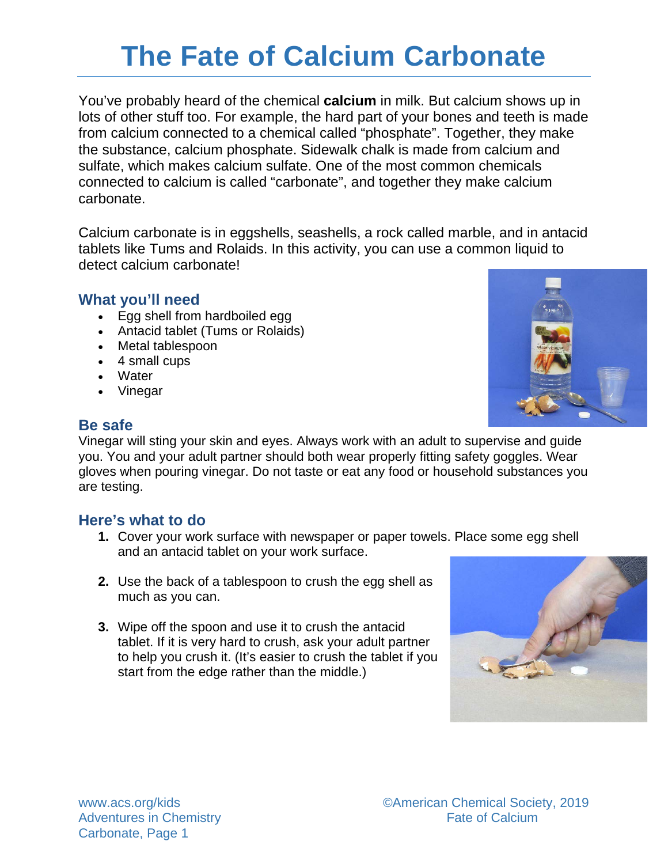# **The Fate of Calcium Carbonate**

You've probably heard of the chemical **calcium** in milk. But calcium shows up in lots of other stuff too. For example, the hard part of your bones and teeth is made from calcium connected to a chemical called "phosphate". Together, they make the substance, calcium phosphate. Sidewalk chalk is made from calcium and sulfate, which makes calcium sulfate. One of the most common chemicals connected to calcium is called "carbonate", and together they make calcium carbonate.

Calcium carbonate is in eggshells, seashells, a rock called marble, and in antacid tablets like Tums and Rolaids. In this activity, you can use a common liquid to detect calcium carbonate!

### **What you'll need**

- Egg shell from hardboiled egg
- Antacid tablet (Tums or Rolaids)
- Metal tablespoon
- 4 small cups
- Water
- Vinegar





Vinegar will sting your skin and eyes. Always work with an adult to supervise and guide you. You and your adult partner should both wear properly fitting safety goggles. Wear gloves when pouring vinegar. Do not taste or eat any food or household substances you are testing.

### **Here's what to do**

- **1.** Cover your work surface with newspaper or paper towels. Place some egg shell and an antacid tablet on your work surface.
- **2.** Use the back of a tablespoon to crush the egg shell as much as you can.
- **3.** Wipe off the spoon and use it to crush the antacid tablet. If it is very hard to crush, ask your adult partner to help you crush it. (It's easier to crush the tablet if you start from the edge rather than the middle.)

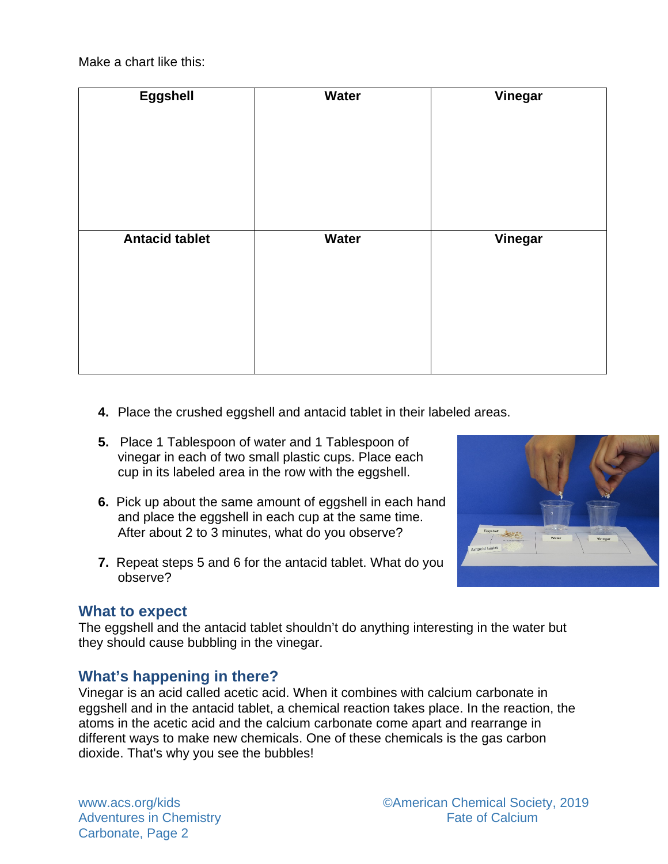Make a chart like this:

| Eggshell              | Water | Vinegar |
|-----------------------|-------|---------|
| <b>Antacid tablet</b> | Water | Vinegar |

- **4.** Place the crushed eggshell and antacid tablet in their labeled areas.
- **5.** Place 1 Tablespoon of water and 1 Tablespoon of vinegar in each of two small plastic cups. Place each cup in its labeled area in the row with the eggshell.
- **6.** Pick up about the same amount of eggshell in each hand and place the eggshell in each cup at the same time. After about 2 to 3 minutes, what do you observe?
- **7.** Repeat steps 5 and 6 for the antacid tablet. What do you observe?

### **What to expect**

The eggshell and the antacid tablet shouldn't do anything interesting in the water but they should cause bubbling in the vinegar.

### **What's happening in there?**

Vinegar is an acid called acetic acid. When it combines with calcium carbonate in eggshell and in the antacid tablet, a chemical reaction takes place. In the reaction, the atoms in the acetic acid and the calcium carbonate come apart and rearrange in different ways to make new chemicals. One of these chemicals is the gas carbon dioxide. That's why you see the bubbles!

Adventures in Chemistry Carbonate, Page 2